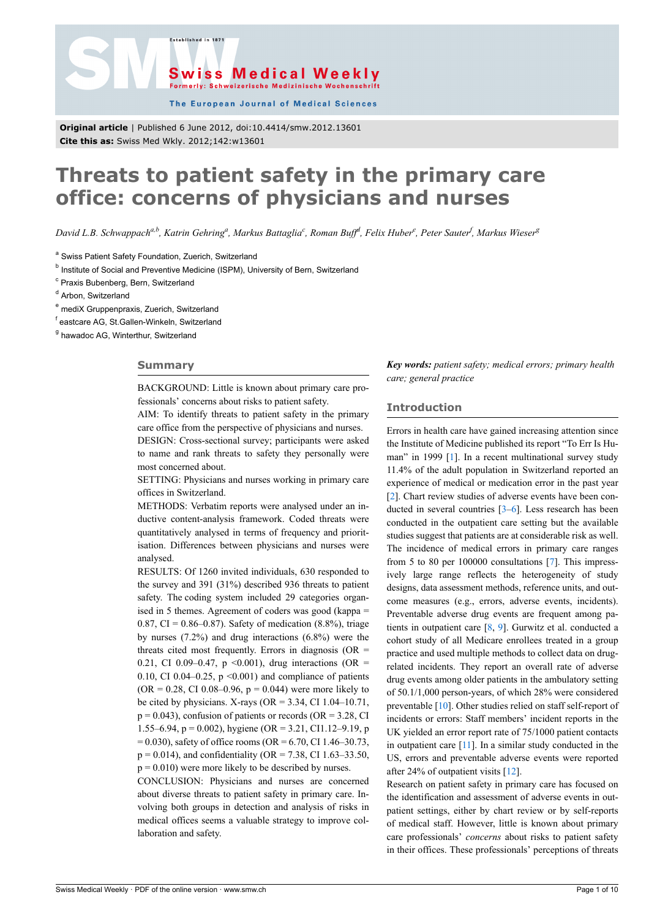



The European Journal of Medical Sciences

**Original article** | Published 6 June 2012, doi:10.4414/smw.2012.13601 **Cite this as:** Swiss Med Wkly. 2012;142:w13601

# **Threats to patient safety in the primary care office: concerns of physicians and nurses**

*David L.B. Schwappacha,b, Katrin Gehring<sup>a</sup> , Markus Battaglia<sup>c</sup> , Roman Buff<sup>d</sup> , Felix Huber<sup>e</sup> , Peter Sauter<sup>f</sup> , Markus Wieser<sup>g</sup>*

<sup>a</sup> Swiss Patient Safety Foundation, Zuerich, Switzerland

<sup>b</sup> Institute of Social and Preventive Medicine (ISPM), University of Bern, Switzerland

<sup>c</sup> Praxis Bubenberg, Bern, Switzerland

<sup>d</sup> Arbon, Switzerland

<sup>e</sup> mediX Gruppenpraxis, Zuerich, Switzerland

<sup>f</sup> eastcare AG, St.Gallen-Winkeln, Switzerland

<sup>g</sup> hawadoc AG, Winterthur, Switzerland

#### **Summary**

BACKGROUND: Little is known about primary care professionals' concerns about risks to patient safety.

AIM: To identify threats to patient safety in the primary care office from the perspective of physicians and nurses.

DESIGN: Cross-sectional survey; participants were asked to name and rank threats to safety they personally were most concerned about.

SETTING: Physicians and nurses working in primary care offices in Switzerland.

METHODS: Verbatim reports were analysed under an inductive content-analysis framework. Coded threats were quantitatively analysed in terms of frequency and prioritisation. Differences between physicians and nurses were analysed.

RESULTS: Of 1260 invited individuals, 630 responded to the survey and 391 (31%) described 936 threats to patient safety. The coding system included 29 categories organised in 5 themes. Agreement of coders was good (kappa = 0.87, CI =  $0.86 - 0.87$ ). Safety of medication  $(8.8\%)$ , triage by nurses (7.2%) and drug interactions (6.8%) were the threats cited most frequently. Errors in diagnosis ( $OR =$ 0.21, CI 0.09–0.47, p <0.001), drug interactions (OR = 0.10, CI 0.04–0.25,  $p \le 0.001$ ) and compliance of patients  $(OR = 0.28, CI\ 0.08 - 0.96, p = 0.044)$  were more likely to be cited by physicians. X-rays ( $OR = 3.34$ , CI 1.04–10.71,  $p = 0.043$ ), confusion of patients or records (OR = 3.28, CI 1.55–6.94, p = 0.002), hygiene (OR = 3.21, CI1.12–9.19, p  $= 0.030$ ), safety of office rooms (OR  $= 6.70$ , CI 1.46–30.73,  $p = 0.014$ ), and confidentiality (OR = 7.38, CI 1.63–33.50,  $p = 0.010$ ) were more likely to be described by nurses.

CONCLUSION: Physicians and nurses are concerned about diverse threats to patient safety in primary care. Involving both groups in detection and analysis of risks in medical offices seems a valuable strategy to improve collaboration and safety.

*Key words: patient safety; medical errors; primary health care; general practice*

## **Introduction**

Errors in health care have gained increasing attention since the Institute of Medicine published its report "To Err Is Human" in 1999 [\[1\]](#page-6-0). In a recent multinational survey study 11.4% of the adult population in Switzerland reported an experience of medical or medication error in the past year [[2](#page-6-1)]. Chart review studies of adverse events have been conducted in several countries [[3](#page-6-2)–[6](#page-6-3)]. Less research has been conducted in the outpatient care setting but the available studies suggest that patients are at considerable risk as well. The incidence of medical errors in primary care ranges from 5 to 80 per 100000 consultations [[7](#page-6-4)]. This impressively large range reflects the heterogeneity of study designs, data assessment methods, reference units, and outcome measures (e.g., errors, adverse events, incidents). Preventable adverse drug events are frequent among patients in outpatient care [[8](#page-6-5), [9](#page-6-6)]. Gurwitz et al. conducted a cohort study of all Medicare enrollees treated in a group practice and used multiple methods to collect data on drugrelated incidents. They report an overall rate of adverse drug events among older patients in the ambulatory setting of 50.1/1,000 person-years, of which 28% were considered preventable [[10\]](#page-6-7). Other studies relied on staff self-report of incidents or errors: Staff members' incident reports in the UK yielded an error report rate of 75/1000 patient contacts in outpatient care  $[11]$  $[11]$  $[11]$ . In a similar study conducted in the US, errors and preventable adverse events were reported after 24% of outpatient visits [\[12](#page-6-9)].

Research on patient safety in primary care has focused on the identification and assessment of adverse events in outpatient settings, either by chart review or by self-reports of medical staff. However, little is known about primary care professionals' *concerns* about risks to patient safety in their offices. These professionals' perceptions of threats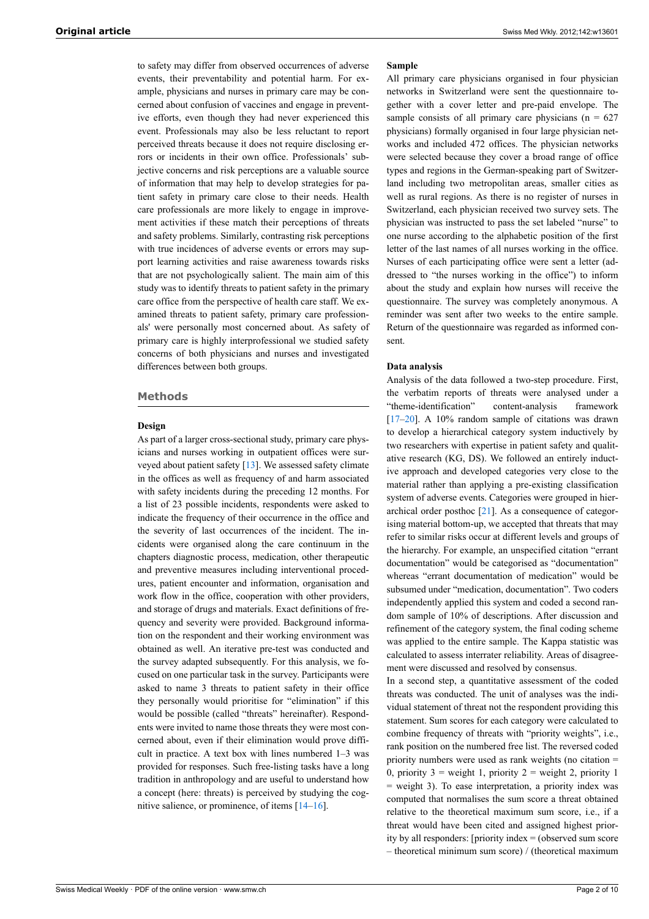to safety may differ from observed occurrences of adverse events, their preventability and potential harm. For example, physicians and nurses in primary care may be concerned about confusion of vaccines and engage in preventive efforts, even though they had never experienced this event. Professionals may also be less reluctant to report perceived threats because it does not require disclosing errors or incidents in their own office. Professionals' subjective concerns and risk perceptions are a valuable source of information that may help to develop strategies for patient safety in primary care close to their needs. Health care professionals are more likely to engage in improvement activities if these match their perceptions of threats and safety problems. Similarly, contrasting risk perceptions with true incidences of adverse events or errors may support learning activities and raise awareness towards risks that are not psychologically salient. The main aim of this study was to identify threats to patient safety in the primary care office from the perspective of health care staff. We examined threats to patient safety, primary care professionals' were personally most concerned about. As safety of primary care is highly interprofessional we studied safety concerns of both physicians and nurses and investigated differences between both groups.

#### **Methods**

## **Design**

As part of a larger cross-sectional study, primary care physicians and nurses working in outpatient offices were surveyed about patient safety [\[13](#page-6-10)]. We assessed safety climate in the offices as well as frequency of and harm associated with safety incidents during the preceding 12 months. For a list of 23 possible incidents, respondents were asked to indicate the frequency of their occurrence in the office and the severity of last occurrences of the incident. The incidents were organised along the care continuum in the chapters diagnostic process, medication, other therapeutic and preventive measures including interventional procedures, patient encounter and information, organisation and work flow in the office, cooperation with other providers, and storage of drugs and materials. Exact definitions of frequency and severity were provided. Background information on the respondent and their working environment was obtained as well. An iterative pre-test was conducted and the survey adapted subsequently. For this analysis, we focused on one particular task in the survey. Participants were asked to name 3 threats to patient safety in their office they personally would prioritise for "elimination" if this would be possible (called "threats" hereinafter). Respondents were invited to name those threats they were most concerned about, even if their elimination would prove difficult in practice. A text box with lines numbered 1–3 was provided for responses. Such free-listing tasks have a long tradition in anthropology and are useful to understand how a concept (here: threats) is perceived by studying the cognitive salience, or prominence, of items [\[14](#page-6-11)–[16\]](#page-6-12).

#### **Sample**

All primary care physicians organised in four physician networks in Switzerland were sent the questionnaire together with a cover letter and pre-paid envelope. The sample consists of all primary care physicians ( $n = 627$ ) physicians) formally organised in four large physician networks and included 472 offices. The physician networks were selected because they cover a broad range of office types and regions in the German-speaking part of Switzerland including two metropolitan areas, smaller cities as well as rural regions. As there is no register of nurses in Switzerland, each physician received two survey sets. The physician was instructed to pass the set labeled "nurse" to one nurse according to the alphabetic position of the first letter of the last names of all nurses working in the office. Nurses of each participating office were sent a letter (addressed to "the nurses working in the office") to inform about the study and explain how nurses will receive the questionnaire. The survey was completely anonymous. A reminder was sent after two weeks to the entire sample. Return of the questionnaire was regarded as informed consent.

#### **Data analysis**

Analysis of the data followed a two-step procedure. First, the verbatim reports of threats were analysed under a "theme-identification" content-analysis framework [[17–](#page-6-13)[20](#page-6-14)]. A 10% random sample of citations was drawn to develop a hierarchical category system inductively by two researchers with expertise in patient safety and qualitative research (KG, DS). We followed an entirely inductive approach and developed categories very close to the material rather than applying a pre-existing classification system of adverse events. Categories were grouped in hierarchical order posthoc  $[21]$  $[21]$ . As a consequence of categorising material bottom-up, we accepted that threats that may refer to similar risks occur at different levels and groups of the hierarchy. For example, an unspecified citation "errant documentation" would be categorised as "documentation" whereas "errant documentation of medication" would be subsumed under "medication, documentation". Two coders independently applied this system and coded a second random sample of 10% of descriptions. After discussion and refinement of the category system, the final coding scheme was applied to the entire sample. The Kappa statistic was calculated to assess interrater reliability. Areas of disagreement were discussed and resolved by consensus.

In a second step, a quantitative assessment of the coded threats was conducted. The unit of analyses was the individual statement of threat not the respondent providing this statement. Sum scores for each category were calculated to combine frequency of threats with "priority weights", i.e., rank position on the numbered free list. The reversed coded priority numbers were used as rank weights (no citation = 0, priority  $3 =$  weight 1, priority  $2 =$  weight 2, priority 1 = weight 3). To ease interpretation, a priority index was computed that normalises the sum score a threat obtained relative to the theoretical maximum sum score, i.e., if a threat would have been cited and assigned highest priority by all responders: [priority index = (observed sum score – theoretical minimum sum score) / (theoretical maximum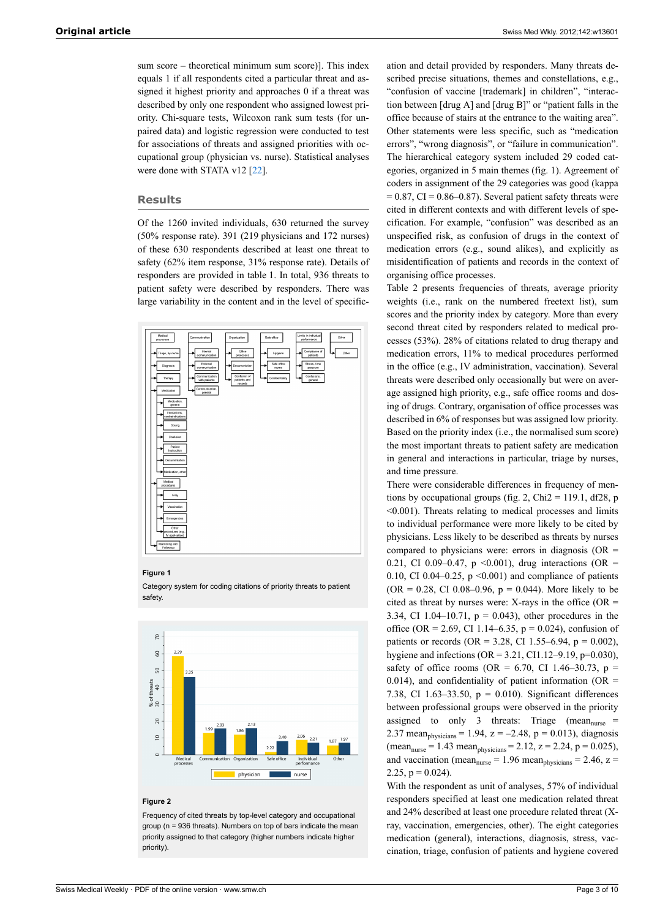sum score – theoretical minimum sum score)]. This index equals 1 if all respondents cited a particular threat and assigned it highest priority and approaches 0 if a threat was described by only one respondent who assigned lowest priority. Chi-square tests, Wilcoxon rank sum tests (for unpaired data) and logistic regression were conducted to test for associations of threats and assigned priorities with occupational group (physician vs. nurse). Statistical analyses were done with STATA v12 [\[22](#page-6-16)].

## **Results**

Of the 1260 invited individuals, 630 returned the survey (50% response rate). 391 (219 physicians and 172 nurses) of these 630 respondents described at least one threat to safety (62% item response, 31% response rate). Details of responders are provided in table 1. In total, 936 threats to patient safety were described by responders. There was large variability in the content and in the level of specific-



#### **Figure 1**

Category system for coding citations of priority threats to patient safety.



#### **Figure 2**

Frequency of cited threats by top-level category and occupational group (n = 936 threats). Numbers on top of bars indicate the mean priority assigned to that category (higher numbers indicate higher priority).

ation and detail provided by responders. Many threats described precise situations, themes and constellations, e.g., "confusion of vaccine [trademark] in children", "interaction between [drug A] and [drug B]" or "patient falls in the office because of stairs at the entrance to the waiting area". Other statements were less specific, such as "medication errors", "wrong diagnosis", or "failure in communication". The hierarchical category system included 29 coded categories, organized in 5 main themes (fig. 1). Agreement of coders in assignment of the 29 categories was good (kappa  $= 0.87$ , CI = 0.86–0.87). Several patient safety threats were cited in different contexts and with different levels of specification. For example, "confusion" was described as an unspecified risk, as confusion of drugs in the context of medication errors (e.g., sound alikes), and explicitly as misidentification of patients and records in the context of organising office processes.

Table 2 presents frequencies of threats, average priority weights (i.e., rank on the numbered freetext list), sum scores and the priority index by category. More than every second threat cited by responders related to medical processes (53%). 28% of citations related to drug therapy and medication errors, 11% to medical procedures performed in the office (e.g., IV administration, vaccination). Several threats were described only occasionally but were on average assigned high priority, e.g., safe office rooms and dosing of drugs. Contrary, organisation of office processes was described in 6% of responses but was assigned low priority. Based on the priority index (i.e., the normalised sum score) the most important threats to patient safety are medication in general and interactions in particular, triage by nurses, and time pressure.

There were considerable differences in frequency of mentions by occupational groups (fig. 2, Chi2 = 119.1, df28, p <0.001). Threats relating to medical processes and limits to individual performance were more likely to be cited by physicians. Less likely to be described as threats by nurses compared to physicians were: errors in diagnosis ( $OR =$ 0.21, CI 0.09–0.47, p <0.001), drug interactions (OR = 0.10, CI 0.04–0.25,  $p \le 0.001$ ) and compliance of patients  $(OR = 0.28, CI \ 0.08 - 0.96, p = 0.044)$ . More likely to be cited as threat by nurses were: X-rays in the office ( $OR =$ 3.34, CI 1.04–10.71,  $p = 0.043$ ), other procedures in the office (OR = 2.69, CI 1.14–6.35,  $p = 0.024$ ), confusion of patients or records (OR = 3.28, CI 1.55–6.94,  $p = 0.002$ ), hygiene and infections ( $OR = 3.21$ , CI1.12–9.19, p=0.030), safety of office rooms (OR = 6.70, CI 1.46–30.73,  $p =$ 0.014), and confidentiality of patient information ( $OR =$ 7.38, CI 1.63–33.50,  $p = 0.010$ ). Significant differences between professional groups were observed in the priority assigned to only 3 threats: Triage (mean<sub>nurse</sub>  $=$ 2.37 mean<sub>physicians</sub> = 1.94,  $z = -2.48$ ,  $p = 0.013$ ), diagnosis  $(\text{mean}_{\text{nurse}} = 1.43 \text{ mean}_{\text{physicians}} = 2.12, z = 2.24, p = 0.025),$ and vaccination (mean<sub>nurse</sub> = 1.96 mean<sub>nusicians</sub> = 2.46, z = 2.25,  $p = 0.024$ ).

With the respondent as unit of analyses, 57% of individual responders specified at least one medication related threat and 24% described at least one procedure related threat (Xray, vaccination, emergencies, other). The eight categories medication (general), interactions, diagnosis, stress, vaccination, triage, confusion of patients and hygiene covered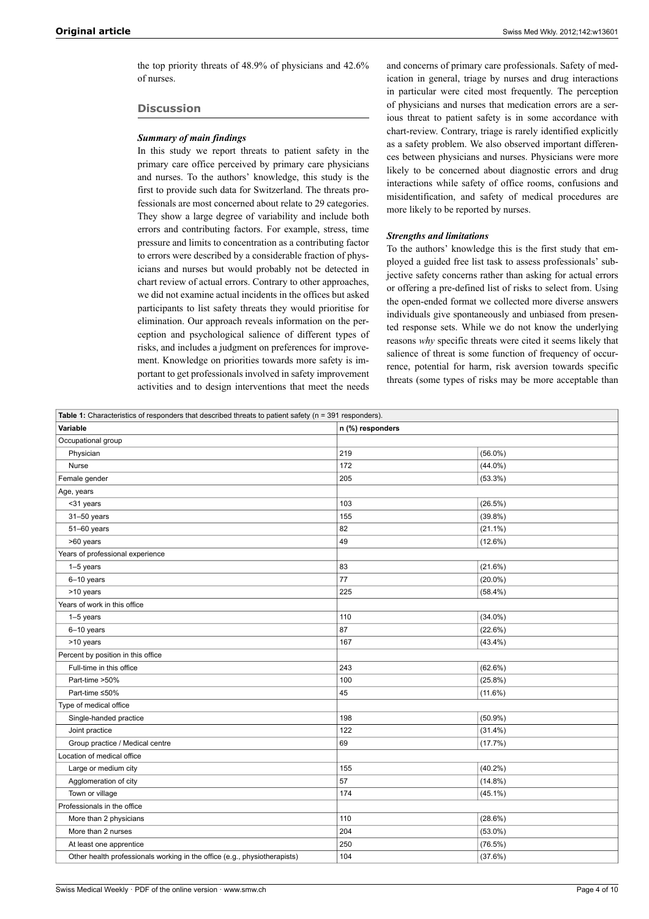the top priority threats of 48.9% of physicians and 42.6% of nurses.

## **Discussion**

## *Summary of main findings*

In this study we report threats to patient safety in the primary care office perceived by primary care physicians and nurses. To the authors' knowledge, this study is the first to provide such data for Switzerland. The threats professionals are most concerned about relate to 29 categories. They show a large degree of variability and include both errors and contributing factors. For example, stress, time pressure and limits to concentration as a contributing factor to errors were described by a considerable fraction of physicians and nurses but would probably not be detected in chart review of actual errors. Contrary to other approaches, we did not examine actual incidents in the offices but asked participants to list safety threats they would prioritise for elimination. Our approach reveals information on the perception and psychological salience of different types of risks, and includes a judgment on preferences for improvement. Knowledge on priorities towards more safety is important to get professionals involved in safety improvement activities and to design interventions that meet the needs

and concerns of primary care professionals. Safety of medication in general, triage by nurses and drug interactions in particular were cited most frequently. The perception of physicians and nurses that medication errors are a serious threat to patient safety is in some accordance with chart-review. Contrary, triage is rarely identified explicitly as a safety problem. We also observed important differences between physicians and nurses. Physicians were more likely to be concerned about diagnostic errors and drug interactions while safety of office rooms, confusions and misidentification, and safety of medical procedures are more likely to be reported by nurses.

## *Strengths and limitations*

To the authors' knowledge this is the first study that employed a guided free list task to assess professionals' subjective safety concerns rather than asking for actual errors or offering a pre-defined list of risks to select from. Using the open-ended format we collected more diverse answers individuals give spontaneously and unbiased from presented response sets. While we do not know the underlying reasons *why* specific threats were cited it seems likely that salience of threat is some function of frequency of occurrence, potential for harm, risk aversion towards specific threats (some types of risks may be more acceptable than

| Table 1: Characteristics of responders that described threats to patient safety ( $n = 391$ responders). |                  |            |  |  |
|----------------------------------------------------------------------------------------------------------|------------------|------------|--|--|
| Variable                                                                                                 | n (%) responders |            |  |  |
| Occupational group                                                                                       |                  |            |  |  |
| Physician                                                                                                | 219              | $(56.0\%)$ |  |  |
| Nurse                                                                                                    | 172              | $(44.0\%)$ |  |  |
| Female gender                                                                                            | 205              | $(53.3\%)$ |  |  |
| Age, years                                                                                               |                  |            |  |  |
| <31 years                                                                                                | 103              | $(26.5\%)$ |  |  |
| 31-50 years                                                                                              | 155              | $(39.8\%)$ |  |  |
| 51-60 years                                                                                              | 82               | $(21.1\%)$ |  |  |
| >60 years                                                                                                | 49               | $(12.6\%)$ |  |  |
| Years of professional experience                                                                         |                  |            |  |  |
| 1-5 years                                                                                                | 83               | (21.6%)    |  |  |
| 6-10 years                                                                                               | 77               | $(20.0\%)$ |  |  |
| >10 years                                                                                                | 225              | $(58.4\%)$ |  |  |
| Years of work in this office                                                                             |                  |            |  |  |
| 1-5 years                                                                                                | 110              | $(34.0\%)$ |  |  |
| 6-10 years                                                                                               | 87               | (22.6%)    |  |  |
| >10 years                                                                                                | 167              | $(43.4\%)$ |  |  |
| Percent by position in this office                                                                       |                  |            |  |  |
| Full-time in this office                                                                                 | 243              | (62.6%)    |  |  |
| Part-time >50%                                                                                           | 100              | $(25.8\%)$ |  |  |
| Part-time ≤50%                                                                                           | 45               | (11.6%)    |  |  |
| Type of medical office                                                                                   |                  |            |  |  |
| Single-handed practice                                                                                   | 198              | $(50.9\%)$ |  |  |
| Joint practice                                                                                           | 122              | $(31.4\%)$ |  |  |
| Group practice / Medical centre                                                                          | 69               | (17.7%)    |  |  |
| Location of medical office                                                                               |                  |            |  |  |
| Large or medium city                                                                                     | 155              | $(40.2\%)$ |  |  |
| Agglomeration of city                                                                                    | 57               | $(14.8\%)$ |  |  |
| Town or village                                                                                          | 174              | $(45.1\%)$ |  |  |
| Professionals in the office                                                                              |                  |            |  |  |
| More than 2 physicians                                                                                   | 110              | (28.6%)    |  |  |
| More than 2 nurses                                                                                       | 204              | $(53.0\%)$ |  |  |
| At least one apprentice                                                                                  | 250              | $(76.5\%)$ |  |  |
| Other health professionals working in the office (e.g., physiotherapists)                                | 104              | (37.6%)    |  |  |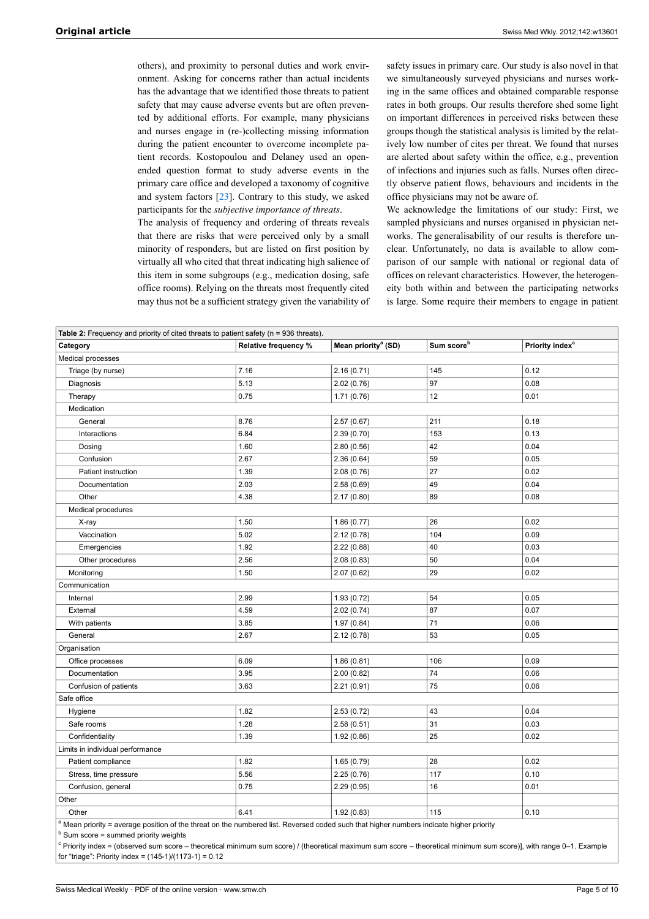others), and proximity to personal duties and work environment. Asking for concerns rather than actual incidents has the advantage that we identified those threats to patient safety that may cause adverse events but are often prevented by additional efforts. For example, many physicians and nurses engage in (re-)collecting missing information during the patient encounter to overcome incomplete patient records. Kostopoulou and Delaney used an openended question format to study adverse events in the primary care office and developed a taxonomy of cognitive and system factors [[23\]](#page-6-17). Contrary to this study, we asked participants for the *subjective importance of threats*.

The analysis of frequency and ordering of threats reveals that there are risks that were perceived only by a small minority of responders, but are listed on first position by virtually all who cited that threat indicating high salience of this item in some subgroups (e.g., medication dosing, safe office rooms). Relying on the threats most frequently cited may thus not be a sufficient strategy given the variability of

safety issues in primary care. Our study is also novel in that we simultaneously surveyed physicians and nurses working in the same offices and obtained comparable response rates in both groups. Our results therefore shed some light on important differences in perceived risks between these groups though the statistical analysis is limited by the relatively low number of cites per threat. We found that nurses are alerted about safety within the office, e.g., prevention of infections and injuries such as falls. Nurses often directly observe patient flows, behaviours and incidents in the office physicians may not be aware of.

We acknowledge the limitations of our study: First, we sampled physicians and nurses organised in physician networks. The generalisability of our results is therefore unclear. Unfortunately, no data is available to allow comparison of our sample with national or regional data of offices on relevant characteristics. However, the heterogeneity both within and between the participating networks is large. Some require their members to engage in patient

| Table 2: Frequency and priority of cited threats to patient safety (n = 936 threats).                                                   |                      |                                 |                        |                             |  |  |
|-----------------------------------------------------------------------------------------------------------------------------------------|----------------------|---------------------------------|------------------------|-----------------------------|--|--|
| Category                                                                                                                                | Relative frequency % | Mean priority <sup>a</sup> (SD) | Sum score <sup>b</sup> | Priority index <sup>c</sup> |  |  |
| Medical processes                                                                                                                       |                      |                                 |                        |                             |  |  |
| Triage (by nurse)                                                                                                                       | 7.16                 | 2.16(0.71)                      | 145                    | 0.12                        |  |  |
| Diagnosis                                                                                                                               | 5.13                 | 2.02(0.76)                      | 97                     | 0.08                        |  |  |
| Therapy                                                                                                                                 | 0.75                 | 1.71(0.76)                      | 12                     | 0.01                        |  |  |
| Medication                                                                                                                              |                      |                                 |                        |                             |  |  |
| General                                                                                                                                 | 8.76                 | 2.57(0.67)                      | 211                    | 0.18                        |  |  |
| Interactions                                                                                                                            | 6.84                 | 2.39(0.70)                      | 153                    | 0.13                        |  |  |
| Dosing                                                                                                                                  | 1.60                 | 2.80(0.56)                      | 42                     | 0.04                        |  |  |
| Confusion                                                                                                                               | 2.67                 | 2.36(0.64)                      | 59                     | 0.05                        |  |  |
| Patient instruction                                                                                                                     | 1.39                 | 2.08(0.76)                      | 27                     | 0.02                        |  |  |
| Documentation                                                                                                                           | 2.03                 | 2.58(0.69)                      | 49                     | 0.04                        |  |  |
| Other                                                                                                                                   | 4.38                 | 2.17(0.80)                      | 89                     | 0.08                        |  |  |
| Medical procedures                                                                                                                      |                      |                                 |                        |                             |  |  |
| X-ray                                                                                                                                   | 1.50                 | 1.86(0.77)                      | 26                     | 0.02                        |  |  |
| Vaccination                                                                                                                             | 5.02                 | 2.12(0.78)                      | 104                    | 0.09                        |  |  |
| Emergencies                                                                                                                             | 1.92                 | 2.22(0.88)                      | 40                     | 0.03                        |  |  |
| Other procedures                                                                                                                        | 2.56                 | 2.08(0.83)                      | 50                     | 0.04                        |  |  |
| Monitoring                                                                                                                              | 1.50                 | 2.07(0.62)                      | 29                     | 0.02                        |  |  |
| Communication                                                                                                                           |                      |                                 |                        |                             |  |  |
| Internal                                                                                                                                | 2.99                 | 1.93(0.72)                      | 54                     | 0.05                        |  |  |
| External                                                                                                                                | 4.59                 | 2.02(0.74)                      | 87                     | 0.07                        |  |  |
| With patients                                                                                                                           | 3.85                 | 1.97(0.84)                      | 71                     | 0.06                        |  |  |
| General                                                                                                                                 | 2.67                 | 2.12(0.78)                      | 53                     | 0.05                        |  |  |
| Organisation                                                                                                                            |                      |                                 |                        |                             |  |  |
| Office processes                                                                                                                        | 6.09                 | 1.86(0.81)                      | 106                    | 0.09                        |  |  |
| Documentation                                                                                                                           | 3.95                 | 2.00(0.82)                      | 74                     | 0.06                        |  |  |
| Confusion of patients                                                                                                                   | 3.63                 | 2.21(0.91)                      | 75                     | 0.06                        |  |  |
| Safe office                                                                                                                             |                      |                                 |                        |                             |  |  |
| Hygiene                                                                                                                                 | 1.82                 | 2.53(0.72)                      | 43                     | 0.04                        |  |  |
| Safe rooms                                                                                                                              | 1.28                 | 2.58(0.51)                      | 31                     | 0.03                        |  |  |
| Confidentiality                                                                                                                         | 1.39                 | 1.92(0.86)                      | 25                     | 0.02                        |  |  |
| Limits in individual performance                                                                                                        |                      |                                 |                        |                             |  |  |
| Patient compliance                                                                                                                      | 1.82                 | 1.65(0.79)                      | 28                     | 0.02                        |  |  |
| Stress, time pressure                                                                                                                   | 5.56                 | 2.25(0.76)                      | 117                    | 0.10                        |  |  |
| Confusion, general                                                                                                                      | 0.75                 | 2.29 (0.95)                     | 16                     | 0.01                        |  |  |
| Other                                                                                                                                   |                      |                                 |                        |                             |  |  |
| Other                                                                                                                                   | 6.41                 | 1.92(0.83)                      | 115                    | 0.10                        |  |  |
| a Mean priority = average position of the threat on the numbered list. Reversed coded such that higher numbers indicate higher priority |                      |                                 |                        |                             |  |  |

 $<sup>b</sup>$  Sum score = summed priority weights</sup>

<sup>c</sup> Priority index = (observed sum score – theoretical minimum sum score) / (theoretical maximum sum score – theoretical minimum sum score)], with range 0–1. Example for "triage": Priority index = (145-1)/(1173-1) = 0.12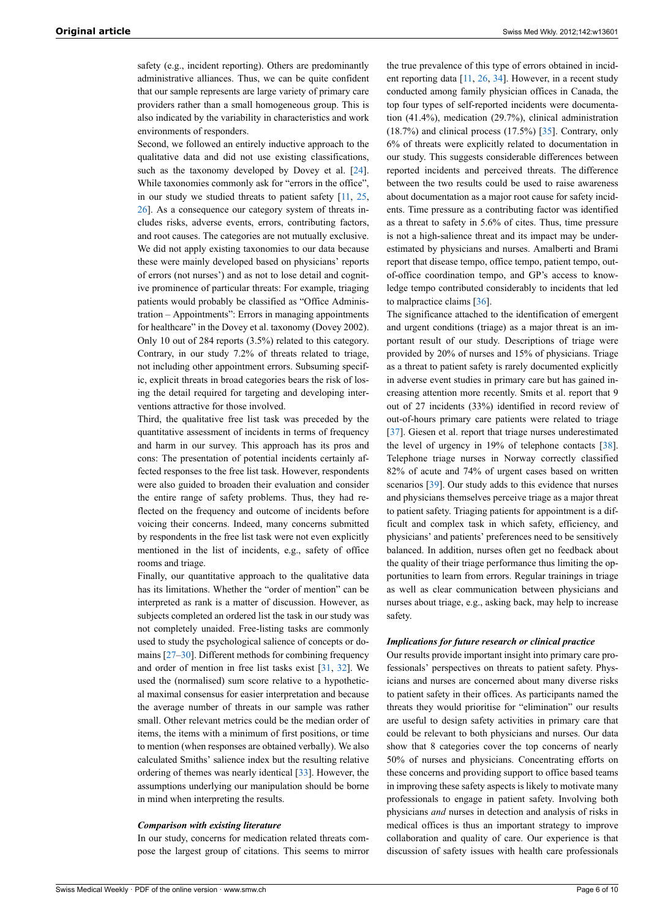safety (e.g., incident reporting). Others are predominantly administrative alliances. Thus, we can be quite confident that our sample represents are large variety of primary care providers rather than a small homogeneous group. This is also indicated by the variability in characteristics and work environments of responders.

Second, we followed an entirely inductive approach to the qualitative data and did not use existing classifications, such as the taxonomy developed by Dovey et al. [\[24](#page-6-18)]. While taxonomies commonly ask for "errors in the office", in our study we studied threats to patient safety [[11](#page-6-8), [25](#page-6-19), [26](#page-6-20)]. As a consequence our category system of threats includes risks, adverse events, errors, contributing factors, and root causes. The categories are not mutually exclusive. We did not apply existing taxonomies to our data because these were mainly developed based on physicians' reports of errors (not nurses') and as not to lose detail and cognitive prominence of particular threats: For example, triaging patients would probably be classified as "Office Administration – Appointments": Errors in managing appointments for healthcare" in the Dovey et al. taxonomy (Dovey 2002). Only 10 out of 284 reports (3.5%) related to this category. Contrary, in our study 7.2% of threats related to triage, not including other appointment errors. Subsuming specific, explicit threats in broad categories bears the risk of losing the detail required for targeting and developing interventions attractive for those involved.

Third, the qualitative free list task was preceded by the quantitative assessment of incidents in terms of frequency and harm in our survey. This approach has its pros and cons: The presentation of potential incidents certainly affected responses to the free list task. However, respondents were also guided to broaden their evaluation and consider the entire range of safety problems. Thus, they had reflected on the frequency and outcome of incidents before voicing their concerns. Indeed, many concerns submitted by respondents in the free list task were not even explicitly mentioned in the list of incidents, e.g., safety of office rooms and triage.

Finally, our quantitative approach to the qualitative data has its limitations. Whether the "order of mention" can be interpreted as rank is a matter of discussion. However, as subjects completed an ordered list the task in our study was not completely unaided. Free-listing tasks are commonly used to study the psychological salience of concepts or domains [\[27](#page-6-21)–[30\]](#page-6-4). Different methods for combining frequency and order of mention in free list tasks exist [[31,](#page-6-22) [32](#page-6-23)]. We used the (normalised) sum score relative to a hypothetical maximal consensus for easier interpretation and because the average number of threats in our sample was rather small. Other relevant metrics could be the median order of items, the items with a minimum of first positions, or time to mention (when responses are obtained verbally). We also calculated Smiths' salience index but the resulting relative ordering of themes was nearly identical [[33\]](#page-6-7). However, the assumptions underlying our manipulation should be borne in mind when interpreting the results.

#### *Comparison with existing literature*

In our study, concerns for medication related threats compose the largest group of citations. This seems to mirror

the true prevalence of this type of errors obtained in incident reporting data [[11](#page-6-8), [26](#page-6-20), [34](#page-7-0)]. However, in a recent study conducted among family physician offices in Canada, the top four types of self-reported incidents were documentation (41.4%), medication (29.7%), clinical administration (18.7%) and clinical process (17.5%) [\[35](#page-7-1)]. Contrary, only 6% of threats were explicitly related to documentation in our study. This suggests considerable differences between reported incidents and perceived threats. The difference between the two results could be used to raise awareness about documentation as a major root cause for safety incidents. Time pressure as a contributing factor was identified as a threat to safety in 5.6% of cites. Thus, time pressure is not a high-salience threat and its impact may be underestimated by physicians and nurses. Amalberti and Brami report that disease tempo, office tempo, patient tempo, outof-office coordination tempo, and GP's access to knowledge tempo contributed considerably to incidents that led to malpractice claims [[36\]](#page-7-2).

The significance attached to the identification of emergent and urgent conditions (triage) as a major threat is an important result of our study. Descriptions of triage were provided by 20% of nurses and 15% of physicians. Triage as a threat to patient safety is rarely documented explicitly in adverse event studies in primary care but has gained increasing attention more recently. Smits et al. report that 9 out of 27 incidents (33%) identified in record review of out-of-hours primary care patients were related to triage [[37\]](#page-7-0). Giesen et al. report that triage nurses underestimated the level of urgency in 19% of telephone contacts [[38\]](#page-7-1). Telephone triage nurses in Norway correctly classified 82% of acute and 74% of urgent cases based on written scenarios [[39\]](#page-7-3). Our study adds to this evidence that nurses and physicians themselves perceive triage as a major threat to patient safety. Triaging patients for appointment is a difficult and complex task in which safety, efficiency, and physicians' and patients' preferences need to be sensitively balanced. In addition, nurses often get no feedback about the quality of their triage performance thus limiting the opportunities to learn from errors. Regular trainings in triage as well as clear communication between physicians and nurses about triage, e.g., asking back, may help to increase safety.

#### *Implications for future research or clinical practice*

Our results provide important insight into primary care professionals' perspectives on threats to patient safety. Physicians and nurses are concerned about many diverse risks to patient safety in their offices. As participants named the threats they would prioritise for "elimination" our results are useful to design safety activities in primary care that could be relevant to both physicians and nurses. Our data show that 8 categories cover the top concerns of nearly 50% of nurses and physicians. Concentrating efforts on these concerns and providing support to office based teams in improving these safety aspects is likely to motivate many professionals to engage in patient safety. Involving both physicians *and* nurses in detection and analysis of risks in medical offices is thus an important strategy to improve collaboration and quality of care. Our experience is that discussion of safety issues with health care professionals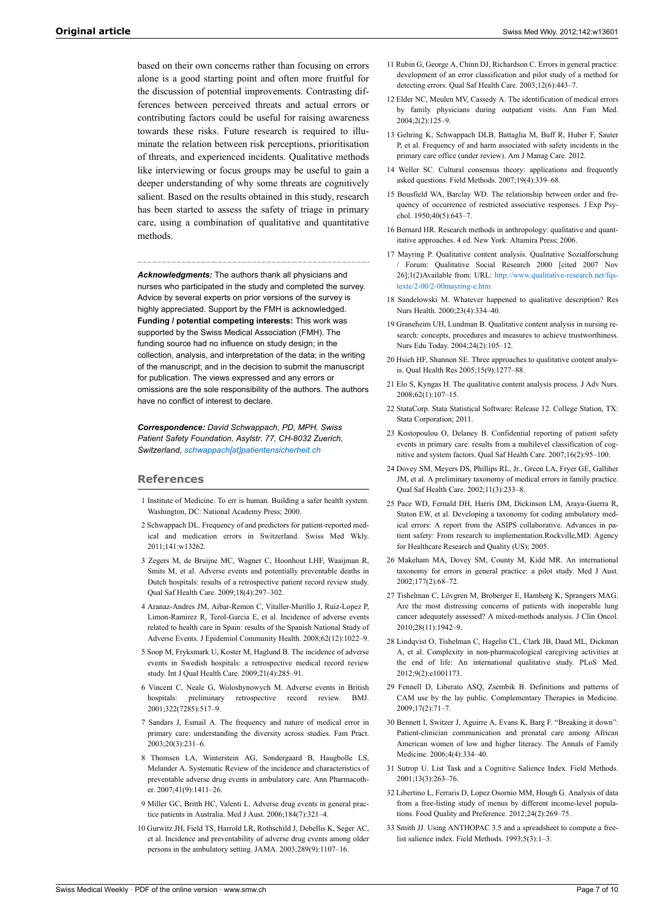<span id="page-6-11"></span><span id="page-6-10"></span><span id="page-6-9"></span><span id="page-6-8"></span>based on their own concerns rather than focusing on errors alone is a good starting point and often more fruitful for the discussion of potential improvements. Contrasting differences between perceived threats and actual errors or contributing factors could be useful for raising awareness towards these risks. Future research is required to illuminate the relation between risk perceptions, prioritisation of threats, and experienced incidents. Qualitative methods like interviewing or focus groups may be useful to gain a deeper understanding of why some threats are cognitively salient. Based on the results obtained in this study, research has been started to assess the safety of triage in primary care, using a combination of qualitative and quantitative methods.

<span id="page-6-13"></span><span id="page-6-12"></span>*Acknowledgments:* The authors thank all physicians and nurses who participated in the study and completed the survey. Advice by several experts on prior versions of the survey is highly appreciated. Support by the FMH is acknowledged. **Funding / potential competing interests:** This work was supported by the Swiss Medical Association (FMH). The funding source had no influence on study design; in the collection, analysis, and interpretation of the data; in the writing of the manuscript; and in the decision to submit the manuscript for publication. The views expressed and any errors or omissions are the sole responsibility of the authors. The authors have no conflict of interest to declare.

<span id="page-6-17"></span><span id="page-6-16"></span><span id="page-6-15"></span><span id="page-6-14"></span>*Correspondence: David Schwappach, PD, MPH, Swiss Patient Safety Foundation, Asylstr. 77, CH-8032 Zuerich, Switzerland, [schwappach\[at\]patientensicherheit.ch](mailto:schwappach@patientensicherheit.ch)*

#### <span id="page-6-19"></span><span id="page-6-18"></span><span id="page-6-0"></span>**References**

- 1 Institute of Medicine. To err is human. Building a safer health system. Washington, DC: National Academy Press; 2000.
- <span id="page-6-1"></span>2 Schwappach DL. Frequency of and predictors for patient-reported medical and medication errors in Switzerland. Swiss Med Wkly. 2011;141:w13262.
- <span id="page-6-20"></span><span id="page-6-2"></span>3 Zegers M, de Bruijne MC, Wagner C, Hoonhout LHF, Waaijman R, Smits M, et al. Adverse events and potentially preventable deaths in Dutch hospitals: results of a retrospective patient record review study. Qual Saf Health Care. 2009;18(4):297–302.
- <span id="page-6-21"></span>4 Aranaz-Andres JM, Aibar-Remon C, Vitaller-Murillo J, Ruiz-Lopez P, Limon-Ramirez R, Terol-Garcia E, et al. Incidence of adverse events related to health care in Spain: results of the Spanish National Study of Adverse Events. J Epidemiol Community Health. 2008;62(12):1022–9.
- 5 Soop M, Fryksmark U, Koster M, Haglund B. The incidence of adverse events in Swedish hospitals: a retrospective medical record review study. Int J Qual Health Care. 2009;21(4):285–91.
- <span id="page-6-3"></span>6 Vincent C, Neale G, Woloshynowych M. Adverse events in British hospitals: preliminary retrospective record review. BMJ. 2001;322(7285):517–9.
- <span id="page-6-4"></span>7 Sandars J, Esmail A. The frequency and nature of medical error in primary care: understanding the diversity across studies. Fam Pract. 2003;20(3):231–6.
- <span id="page-6-22"></span><span id="page-6-5"></span>8 Thomsen LA, Winterstein AG, Sondergaard B, Haugbolle LS, Melander A. Systematic Review of the incidence and characteristics of preventable adverse drug events in ambulatory care. Ann Pharmacother. 2007;41(9):1411–26.
- <span id="page-6-23"></span><span id="page-6-6"></span>9 Miller GC, Britth HC, Valenti L. Adverse drug events in general practice patients in Australia. Med J Aust. 2006;184(7):321–4.
- <span id="page-6-7"></span>10 Gurwitz JH, Field TS, Harrold LR, Rothschild J, Debellis K, Seger AC, et al. Incidence and preventability of adverse drug events among older persons in the ambulatory setting. JAMA. 2003;289(9):1107–16.
- 11 Rubin G, George A, Chinn DJ, Richardson C. Errors in general practice: development of an error classification and pilot study of a method for detecting errors. Qual Saf Health Care. 2003;12(6):443–7.
- 12 Elder NC, Meulen MV, Cassedy A. The identification of medical errors by family physicians during outpatient visits. Ann Fam Med. 2004;2(2):125–9.
- 13 Gehring K, Schwappach DLB, Battaglia M, Buff R, Huber F, Sauter P, et al. Frequency of and harm associated with safety incidents in the primary care office (under review). Am J Manag Care. 2012.
- 14 Weller SC. Cultural consensus theory: applications and frequently asked questions. Field Methods. 2007;19(4):339–68.
- 15 Bousfield WA, Barclay WD. The relationship between order and frequency of occurrence of restricted associative responses. J Exp Psychol. 1950;40(5):643–7.
- 16 Bernard HR. Research methods in anthropology: qualitative and quantitative approaches. 4 ed. New York: Altamira Press; 2006.
- 17 Mayring P. Qualitative content analysis. Qualitative Sozialforschung / Forum: Qualitative Social Research 2000 [cited 2007 Nov 26];1(2)Available from: URL: [http://www.qualitative-research.net/fqs](http://www.qualitative-research.net/fqs-texte/2-00/2-00mayring-e.htm)[texte/2-00/2-00mayring-e.htm](http://www.qualitative-research.net/fqs-texte/2-00/2-00mayring-e.htm)
- 18 Sandelowski M. Whatever happened to qualitative description? Res Nurs Health. 2000;23(4):334–40.
- 19 Graneheim UH, Lundman B. Qualitative content analysis in nursing research: concepts, procedures and measures to achieve trustworthiness. Nurs Edu Today. 2004;24(2):105–12.
- 20 Hsieh HF, Shannon SE. Three approaches to qualitative content analysis. Qual Health Res 2005;15(9):1277–88.
- 21 Elo S, Kyngas H. The qualitative content analysis process. J Adv Nurs. 2008;62(1):107–15.
- 22 StataCorp. Stata Statistical Software: Release 12. College Station, TX: Stata Corporation; 2011.
- 23 Kostopoulou O, Delaney B. Confidential reporting of patient safety events in primary care: results from a multilevel classification of cognitive and system factors. Qual Saf Health Care. 2007;16(2):95–100.
- 24 Dovey SM, Meyers DS, Phillips RL, Jr., Green LA, Fryer GE, Galliher JM, et al. A preliminary taxonomy of medical errors in family practice. Qual Saf Health Care. 2002;11(3):233–8.
- 25 Pace WD, Fernald DH, Harris DM, Dickinson LM, Araya-Guerra R, Staton EW, et al. Developing a taxonomy for coding ambulatory medical errors: A report from the ASIPS collaborative. Advances in patient safety: From research to implementation.Rockville,MD: Agency for Healthcare Research and Quality (US); 2005.
- 26 Makeham MA, Dovey SM, County M, Kidd MR. An international taxonomy for errors in general practice: a pilot study. Med J Aust. 2002;177(2):68–72.
- 27 Tishelman C, Lövgren M, Broberger E, Hamberg K, Sprangers MAG. Are the most distressing concerns of patients with inoperable lung cancer adequately assessed? A mixed-methods analysis. J Clin Oncol. 2010;28(11):1942–9.
- 28 Lindqvist O, Tishelman C, Hagelin CL, Clark JB, Daud ML, Dickman A, et al. Complexity in non-pharmacological caregiving activities at the end of life: An international qualitative study. PLoS Med. 2012;9(2):e1001173.
- 29 Fennell D, Liberato ASQ, Zsembik B. Definitions and patterns of CAM use by the lay public. Complementary Therapies in Medicine. 2009;17(2):71–7.
- 30 Bennett I, Switzer J, Aguirre A, Evans K, Barg F. "Breaking it down": Patient-clinician communication and prenatal care among African American women of low and higher literacy. The Annals of Family Medicine. 2006;4(4):334–40.
- 31 Sutrop U. List Task and a Cognitive Salience Index. Field Methods. 2001;13(3):263–76.
- 32 Libertino L, Ferraris D, Lopez Osornio MM, Hough G. Analysis of data from a free-listing study of menus by different income-level populations. Food Quality and Preference. 2012;24(2):269–75.
- 33 Smith JJ. Using ANTHOPAC 3.5 and a spreadsheet to compute a freelist salience index. Field Methods. 1993;5(3):1–3.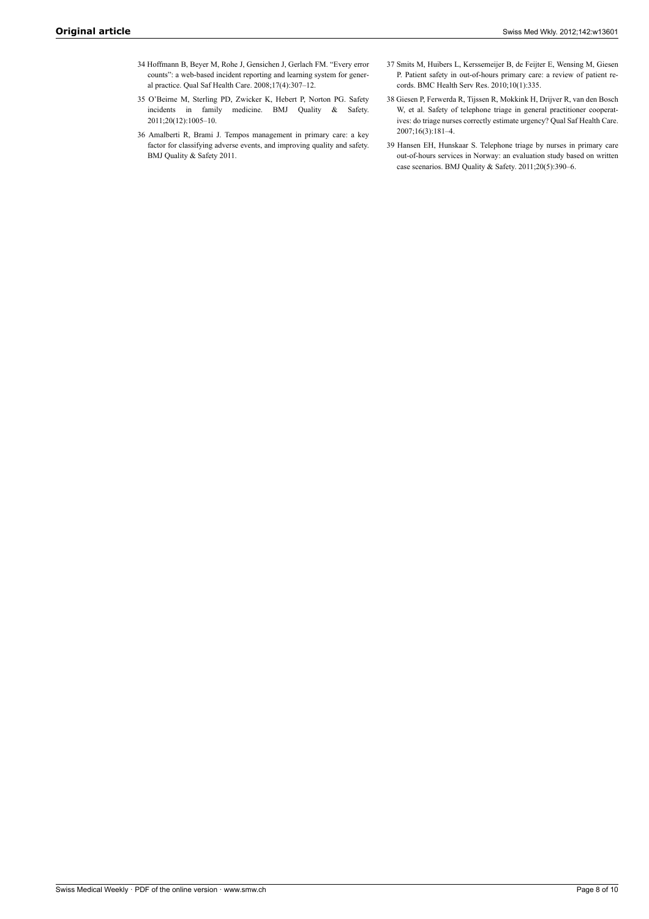- <span id="page-7-0"></span>34 Hoffmann B, Beyer M, Rohe J, Gensichen J, Gerlach FM. "Every error counts": a web-based incident reporting and learning system for general practice. Qual Saf Health Care. 2008;17(4):307–12.
- <span id="page-7-1"></span>35 O'Beirne M, Sterling PD, Zwicker K, Hebert P, Norton PG. Safety incidents in family medicine. BMJ Quality & Safety. 2011;20(12):1005–10.
- <span id="page-7-3"></span><span id="page-7-2"></span>36 Amalberti R, Brami J. Tempos management in primary care: a key factor for classifying adverse events, and improving quality and safety. BMJ Quality & Safety 2011.
- 37 Smits M, Huibers L, Kerssemeijer B, de Feijter E, Wensing M, Giesen P. Patient safety in out-of-hours primary care: a review of patient records. BMC Health Serv Res. 2010;10(1):335.
- 38 Giesen P, Ferwerda R, Tijssen R, Mokkink H, Drijver R, van den Bosch W, et al. Safety of telephone triage in general practitioner cooperatives: do triage nurses correctly estimate urgency? Qual Saf Health Care. 2007;16(3):181–4.
- 39 Hansen EH, Hunskaar S. Telephone triage by nurses in primary care out-of-hours services in Norway: an evaluation study based on written case scenarios. BMJ Quality & Safety. 2011;20(5):390–6.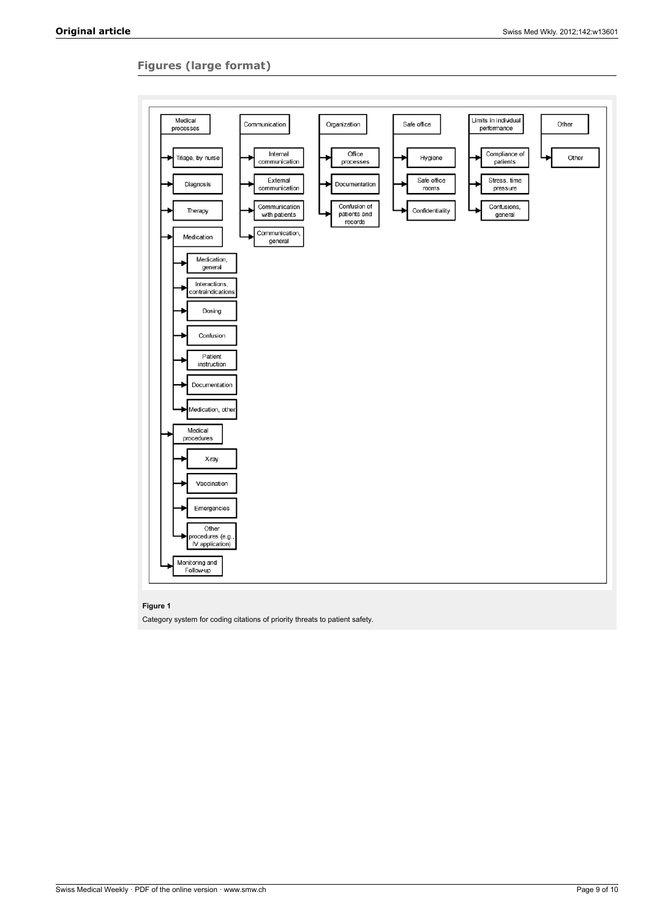## **Figures (large format)**



#### **Figure 1**

Category system for coding citations of priority threats to patient safety.